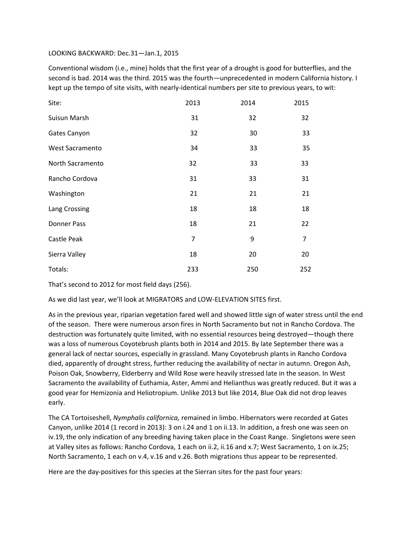## LOOKING BACKWARD: Dec.31—Jan.1, 2015

Conventional wisdom (i.e., mine) holds that the first year of a drought is good for butterflies, and the second is bad. 2014 was the third. 2015 was the fourth—unprecedented in modern California history. I kept up the tempo of site visits, with nearly-identical numbers per site to previous years, to wit:

| Site:              | 2013           | 2014 | 2015           |
|--------------------|----------------|------|----------------|
| Suisun Marsh       | 31             | 32   | 32             |
| Gates Canyon       | 32             | 30   | 33             |
| West Sacramento    | 34             | 33   | 35             |
| North Sacramento   | 32             | 33   | 33             |
| Rancho Cordova     | 31             | 33   | 31             |
| Washington         | 21             | 21   | 21             |
| Lang Crossing      | 18             | 18   | 18             |
| <b>Donner Pass</b> | 18             | 21   | 22             |
| Castle Peak        | $\overline{7}$ | 9    | $\overline{7}$ |
| Sierra Valley      | 18             | 20   | 20             |
| Totals:            | 233            | 250  | 252            |

That's second to 2012 for most field days (256).

As we did last year, we'll look at MIGRATORS and LOW-ELEVATION SITES first.

As in the previous year, riparian vegetation fared well and showed little sign of water stress until the end of the season. There were numerous arson fires in North Sacramento but not in Rancho Cordova. The destruction was fortunately quite limited, with no essential resources being destroyed—though there was a loss of numerous Coyotebrush plants both in 2014 and 2015. By late September there was a general lack of nectar sources, especially in grassland. Many Coyotebrush plants in Rancho Cordova died, apparently of drought stress, further reducing the availability of nectar in autumn. Oregon Ash, Poison Oak, Snowberry, Elderberry and Wild Rose were heavily stressed late in the season. In West Sacramento the availability of Euthamia, Aster, Ammi and Helianthus was greatly reduced. But it was a good year for Hemizonia and Heliotropium. Unlike 2013 but like 2014, Blue Oak did not drop leaves early.

The CA Tortoiseshell, *Nymphalis californica,* remained in limbo. Hibernators were recorded at Gates Canyon, unlike 2014 (1 record in 2013): 3 on i.24 and 1 on ii.13. In addition, a fresh one was seen on iv.19, the only indication of any breeding having taken place in the Coast Range. Singletons were seen at Valley sites as follows: Rancho Cordova, 1 each on ii.2, ii.16 and x.7; West Sacramento, 1 on ix.25; North Sacramento, 1 each on v.4, v.16 and v.26. Both migrations thus appear to be represented.

Here are the day-positives for this species at the Sierran sites for the past four years: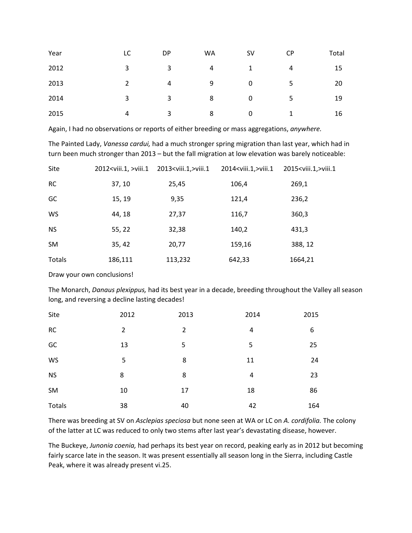| Year | LC            | DP | WA | <b>SV</b> | <b>CP</b>      | Total |
|------|---------------|----|----|-----------|----------------|-------|
| 2012 | 3             | 3  | 4  | 1         | $\overline{4}$ | 15    |
| 2013 | $\mathcal{P}$ | 4  | 9  | 0         | 5              | 20    |
| 2014 | 3             | 3  | 8  | 0         | 5              | 19    |
| 2015 | 4             | 3  | 8  | $\Omega$  | 1              | 16    |

Again, I had no observations or reports of either breeding or mass aggregations, *anywhere.*

The Painted Lady, *Vanessa cardui,* had a much stronger spring migration than last year, which had in turn been much stronger than 2013 – but the fall migration at low elevation was barely noticeable:

| Site          | 2012 <viii.1,>viii.1</viii.1,> | 2013 <viii.1,>viii.1</viii.1,> | 2014 <viii.1,>viii.1</viii.1,> | 2015 <viii.1,>viii.1</viii.1,> |
|---------------|--------------------------------|--------------------------------|--------------------------------|--------------------------------|
| <b>RC</b>     | 37, 10                         | 25,45                          | 106,4                          | 269,1                          |
| GC            | 15, 19                         | 9,35                           | 121,4                          | 236,2                          |
| WS            | 44, 18                         | 27,37                          | 116,7                          | 360,3                          |
| <b>NS</b>     | 55, 22                         | 32,38                          | 140,2                          | 431,3                          |
| <b>SM</b>     | 35, 42                         | 20,77                          | 159,16                         | 388, 12                        |
| <b>Totals</b> | 186,111                        | 113,232                        | 642,33                         | 1664,21                        |

Draw your own conclusions!

The Monarch, *Danaus plexippus,* had its best year in a decade, breeding throughout the Valley all season long, and reversing a decline lasting decades!

| Site      | 2012           | 2013           | 2014 | 2015 |
|-----------|----------------|----------------|------|------|
| <b>RC</b> | $\overline{2}$ | $\overline{2}$ | 4    | 6    |
| GC        | 13             | 5              | 5    | 25   |
| WS        | 5              | 8              | 11   | 24   |
| <b>NS</b> | 8              | 8              | 4    | 23   |
| SM        | 10             | 17             | 18   | 86   |
| Totals    | 38             | 40             | 42   | 164  |

There was breeding at SV on *Asclepias speciosa* but none seen at WA or LC on *A. cordifolia.* The colony of the latter at LC was reduced to only two stems after last year's devastating disease, however.

The Buckeye, *Junonia coenia,* had perhaps its best year on record, peaking early as in 2012 but becoming fairly scarce late in the season. It was present essentially all season long in the Sierra, including Castle Peak, where it was already present vi.25.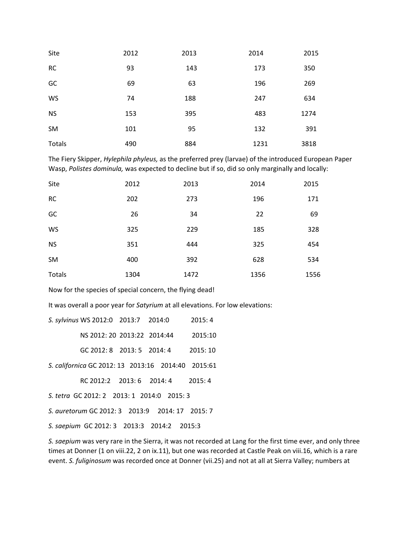| Site      | 2012 | 2013 | 2014 | 2015 |
|-----------|------|------|------|------|
| <b>RC</b> | 93   | 143  | 173  | 350  |
| GC        | 69   | 63   | 196  | 269  |
| WS        | 74   | 188  | 247  | 634  |
| <b>NS</b> | 153  | 395  | 483  | 1274 |
| <b>SM</b> | 101  | 95   | 132  | 391  |
| Totals    | 490  | 884  | 1231 | 3818 |

The Fiery Skipper, *Hylephila phyleus,* as the preferred prey (larvae) of the introduced European Paper Wasp, *Polistes dominula,* was expected to decline but if so, did so only marginally and locally:

| Site      | 2012 | 2013 | 2014 | 2015 |
|-----------|------|------|------|------|
| <b>RC</b> | 202  | 273  | 196  | 171  |
| GC        | 26   | 34   | 22   | 69   |
| WS        | 325  | 229  | 185  | 328  |
| <b>NS</b> | 351  | 444  | 325  | 454  |
| <b>SM</b> | 400  | 392  | 628  | 534  |
| Totals    | 1304 | 1472 | 1356 | 1556 |

Now for the species of special concern, the flying dead!

It was overall a poor year for *Satyrium* at all elevations. For low elevations:

| S. sylvinus WS 2012:0 2013:7 2014:0                |                             | 2015:4  |
|----------------------------------------------------|-----------------------------|---------|
|                                                    | NS 2012: 20 2013:22 2014:44 | 2015:10 |
|                                                    | GC 2012: 8 2013: 5 2014: 4  | 2015:10 |
| S. californica GC 2012: 13 2013:16 2014:40 2015:61 |                             |         |

RC 2012:2 2013: 6 2014: 4 2015: 4

*S. tetra* GC 2012: 2 2013: 1 2014:0 2015: 3

*S. auretorum* GC 2012: 3 2013:9 2014: 17 2015: 7

*S. saepium* GC 2012: 3 2013:3 2014:2 2015:3

*S. saepium* was very rare in the Sierra, it was not recorded at Lang for the first time ever, and only three times at Donner (1 on viii.22, 2 on ix.11), but one was recorded at Castle Peak on viii.16, which is a rare event. *S. fuliginosum* was recorded once at Donner (vii.25) and not at all at Sierra Valley; numbers at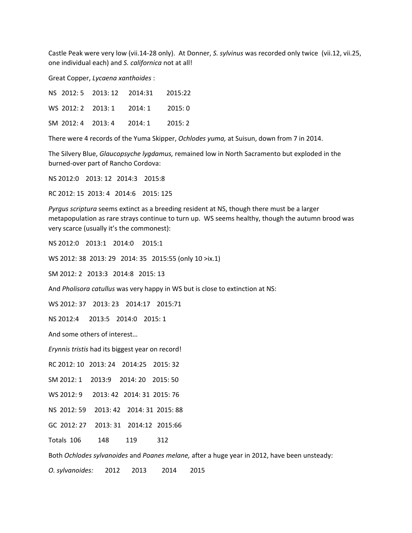Castle Peak were very low (vii.14-28 only). At Donner, *S. sylvinus* was recorded only twice (vii.12, vii.25, one individual each) and *S. californica* not at all!

Great Copper, *Lycaena xanthoides* :

|  | NS 2012: 5 2013: 12 2014:31 2015:22 |  |
|--|-------------------------------------|--|
|  | WS 2012: 2 2013: 1 2014: 1 2015: 0  |  |
|  | SM 2012: 4 2013: 4 2014: 1 2015: 2  |  |

There were 4 records of the Yuma Skipper, *Ochlodes yuma,* at Suisun, down from 7 in 2014.

The Silvery Blue, *Glaucopsyche lygdamus,* remained low in North Sacramento but exploded in the burned-over part of Rancho Cordova:

NS 2012:0 2013: 12 2014:3 2015:8

RC 2012: 15 2013: 4 2014:6 2015: 125

*Pyrgus scriptura* seems extinct as a breeding resident at NS, though there must be a larger metapopulation as rare strays continue to turn up. WS seems healthy, though the autumn brood was very scarce (usually it's the commonest):

NS 2012:0 2013:1 2014:0 2015:1

WS 2012: 38 2013: 29 2014: 35 2015:55 (only 10 >ix.1)

SM 2012: 2 2013:3 2014:8 2015: 13

And *Pholisora catullus* was very happy in WS but is close to extinction at NS:

WS 2012: 37 2013: 23 2014:17 2015:71

NS 2012:4 2013:5 2014:0 2015: 1

And some others of interest…

*Erynnis tristis* had its biggest year on record!

RC 2012: 10 2013: 24 2014:25 2015: 32

SM 2012: 1 2013:9 2014: 20 2015: 50

WS 2012: 9 2013: 42 2014: 31 2015: 76

NS 2012: 59 2013: 42 2014: 31 2015: 88

GC 2012: 27 2013: 31 2014:12 2015:66

Totals 106 148 119 312

Both *Ochlodes sylvanoides* and *Poanes melane,* after a huge year in 2012, have been unsteady:

*O. sylvanoides:* 2012 2013 2014 2015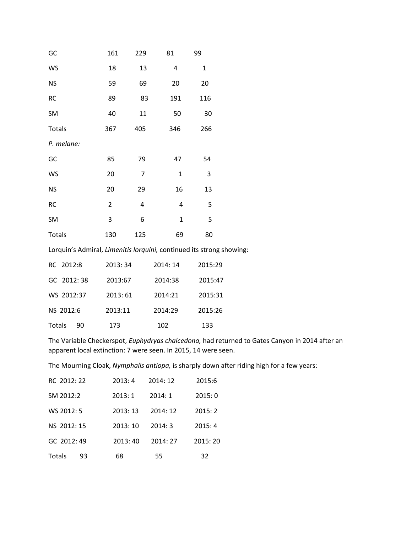| GC         | 161            | 229 | 81           | 99  |
|------------|----------------|-----|--------------|-----|
| WS         | 18             | 13  | 4            | 1   |
| <b>NS</b>  | 59             | 69  | 20           | 20  |
| RC         | 89             | 83  | 191          | 116 |
| SM         | 40             | 11  | 50           | 30  |
| Totals     | 367            | 405 | 346          | 266 |
| P. melane: |                |     |              |     |
| GC         | 85             | 79  | 47           | 54  |
| WS         | 20             | 7   | $\mathbf{1}$ | 3   |
| <b>NS</b>  | 20             | 29  | 16           | 13  |
| RC         | $\overline{2}$ | 4   | 4            | 5   |
| SM         | 3              | 6   | $\mathbf 1$  | 5   |
| Totals     | 130            | 125 | 69           | 80  |

Lorquin's Admiral, *Limenitis lorquini,* continued its strong showing:

| RC 2012:8     | 2013:34 | 2014:14 | 2015:29 |
|---------------|---------|---------|---------|
| GC 2012:38    | 2013:67 | 2014:38 | 2015:47 |
| WS 2012:37    | 2013:61 | 2014:21 | 2015:31 |
| NS 2012:6     | 2013:11 | 2014:29 | 2015:26 |
| Totals<br>90. | 173     | 102     | 133     |

The Variable Checkerspot, *Euphydryas chalcedona,* had returned to Gates Canyon in 2014 after an apparent local extinction: 7 were seen. In 2015, 14 were seen.

The Mourning Cloak, *Nymphalis antiopa,* is sharply down after riding high for a few years:

| RC 2012: 22 |    | 2013:4  | 2014:12 | 2015:6  |
|-------------|----|---------|---------|---------|
| SM 2012:2   |    | 2013:1  | 2014:1  | 2015:0  |
| WS 2012: 5  |    | 2013:13 | 2014:12 | 2015:2  |
| NS 2012: 15 |    | 2013:10 | 2014:3  | 2015:4  |
| GC 2012:49  |    | 2013:40 | 2014:27 | 2015:20 |
| Totals      | 93 | 68      | 55      | 32      |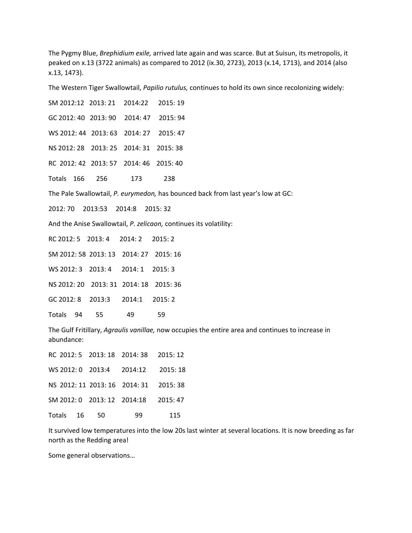The Pygmy Blue, *Brephidium exile,* arrived late again and was scarce. But at Suisun, its metropolis, it peaked on x.13 (3722 animals) as compared to 2012 (ix.30, 2723), 2013 (x.14, 1713), and 2014 (also x.13, 1473).

The Western Tiger Swallowtail, *Papilio rutulus,* continues to hold its own since recolonizing widely:

SM 2012:12 2013: 21 2014:22 2015: 19 GC 2012: 40 2013: 90 2014: 47 2015: 94 WS 2012: 44 2013: 63 2014: 27 2015: 47 NS 2012: 28 2013: 25 2014: 31 2015: 38 RC 2012: 42 2013: 57 2014: 46 2015: 40 Totals 166 256 173 238 The Pale Swallowtail, *P. eurymedon,* has bounced back from last year's low at GC: 2012: 70 2013:53 2014:8 2015: 32 And the Anise Swallowtail, *P. zelicaon,* continues its volatility: RC 2012: 5 2013: 4 2014: 2 2015: 2 SM 2012: 58 2013: 13 2014: 27 2015: 16 WS 2012: 3 2013: 4 2014: 1 2015: 3 NS 2012: 20 2013: 31 2014: 18 2015: 36 GC 2012: 8 2013:3 2014:1 2015: 2 Totals 94 55 49 59 The Gulf Fritillary, *Agraulis vanillae,* now occupies the entire area and continues to increase in abundance: RC 2012: 5 2013: 18 2014: 38 2015: 12

|              |  | WS 2012: 0 2013:4 2014:12 2015: 18     |     |
|--------------|--|----------------------------------------|-----|
|              |  | NS 2012: 11 2013: 16 2014: 31 2015: 38 |     |
|              |  | SM 2012: 0 2013: 12 2014:18 2015: 47   |     |
| Totals 16 50 |  | 99.                                    | 115 |

It survived low temperatures into the low 20s last winter at several locations. It is now breeding as far north as the Redding area!

Some general observations…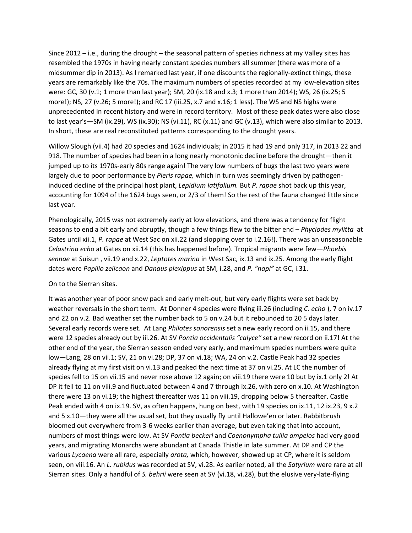Since 2012 – i.e., during the drought – the seasonal pattern of species richness at my Valley sites has resembled the 1970s in having nearly constant species numbers all summer (there was more of a midsummer dip in 2013). As I remarked last year, if one discounts the regionally-extinct things, these years are remarkably like the 70s. The maximum numbers of species recorded at my low-elevation sites were: GC, 30 (v.1; 1 more than last year); SM, 20 (ix.18 and x.3; 1 more than 2014); WS, 26 (ix.25; 5 more!); NS, 27 (v.26; 5 more!); and RC 17 (iii.25, x.7 and x.16; 1 less). The WS and NS highs were unprecedented in recent history and were in record territory. Most of these peak dates were also close to last year's—SM (ix.29), WS (ix.30); NS (vi.11), RC (x.11) and GC (v.13), which were also similar to 2013. In short, these are real reconstituted patterns corresponding to the drought years.

Willow Slough (vii.4) had 20 species and 1624 individuals; in 2015 it had 19 and only 317, in 2013 22 and 918. The number of species had been in a long nearly monotonic decline before the drought—then it jumped up to its 1970s-early 80s range again! The very low numbers of bugs the last two years were largely due to poor performance by *Pieris rapae,* which in turn was seemingly driven by pathogeninduced decline of the principal host plant, *Lepidium latifolium.* But *P. rapae* shot back up this year, accounting for 1094 of the 1624 bugs seen, or 2/3 of them! So the rest of the fauna changed little since last year.

Phenologically, 2015 was not extremely early at low elevations, and there was a tendency for flight seasons to end a bit early and abruptly, though a few things flew to the bitter end – *Phyciodes mylitta* at Gates until xii.1, *P. rapae* at West Sac on xii.22 (and slopping over to i.2.16!). There was an unseasonable *Celastrina echo* at Gates on xii.14 (this has happened before). Tropical migrants were few—*Phoebis sennae* at Suisun , vii.19 and x.22, *Leptotes marina* in West Sac, ix.13 and ix.25. Among the early flight dates were *Papilio zelicaon* and *Danaus plexippus* at SM, i.28, and *P. "napi"* at GC, i.31.

## On to the Sierran sites.

It was another year of poor snow pack and early melt-out, but very early flights were set back by weather reversals in the short term. At Donner 4 species were flying iii.26 (including *C. echo* ), 7 on iv.17 and 22 on v.2. Bad weather set the number back to 5 on v.24 but it rebounded to 20 5 days later. Several early records were set. At Lang *Philotes sonorensis* set a new early record on ii.15, and there were 12 species already out by iii.26. At SV *Pontia occidentalis "calyce"* set a new record on ii.17! At the other end of the year, the Sierran season ended very early, and maximum species numbers were quite low—Lang, 28 on vii.1; SV, 21 on vi.28; DP, 37 on vi.18; WA, 24 on v.2. Castle Peak had 32 species already flying at my first visit on vi.13 and peaked the next time at 37 on vi.25. At LC the number of species fell to 15 on vii.15 and never rose above 12 again; on viii.19 there were 10 but by ix.1 only 2! At DP it fell to 11 on viii.9 and fluctuated between 4 and 7 through ix.26, with zero on x.10. At Washington there were 13 on vi.19; the highest thereafter was 11 on viii.19, dropping below 5 thereafter. Castle Peak ended with 4 on ix.19. SV, as often happens, hung on best, with 19 species on ix.11, 12 ix.23, 9 x.2 and 5 x.10—they were all the usual set, but they usually fly until Hallowe'en or later. Rabbitbrush bloomed out everywhere from 3-6 weeks earlier than average, but even taking that into account, numbers of most things were low. At SV *Pontia beckeri* and *Coenonympha tullia ampelos* had very good years, and migrating Monarchs were abundant at Canada Thistle in late summer. At DP and CP the various *Lycaena* were all rare, especially *arota,* which, however, showed up at CP, where it is seldom seen, on viii.16. An *L. rubidus* was recorded at SV, vi.28. As earlier noted, all the *Satyrium* were rare at all Sierran sites. Only a handful of *S. behrii* were seen at SV (vi.18, vi.28), but the elusive very-late-flying